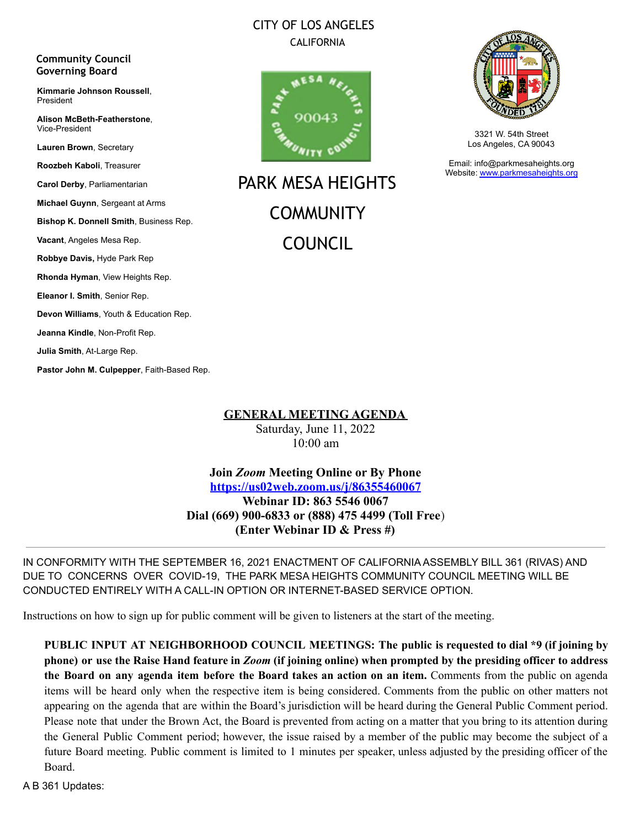### CITY OF LOS ANGELES CALIFORNIA



PARK MESA HEIGHTS **COMMUNITY** COUNCIL



3321 W. 54th Street Los Angeles, CA 90043

Email: info@parkmesaheights.org Website: [www.parkmesaheights.org](http://www.parkmesaheights.org)

**Lauren Brown**, Secretary **Roozbeh Kaboli**, Treasurer **Carol Derby**, Parliamentarian **Michael Guynn**, Sergeant at Arms **Bishop K. Donnell Smith**, Business Rep. **Vacant**, Angeles Mesa Rep. **Robbye Davis,** Hyde Park Rep **Rhonda Hyman**, View Heights Rep. **Eleanor I. Smith**, Senior Rep. **Devon Williams**, Youth & Education Rep. **Jeanna Kindle**, Non-Profit Rep. **Julia Smith**, At-Large Rep. **Pastor John M. Culpepper**, Faith-Based Rep.

**Community Council Governing Board**

President

Vice-President

**Kimmarie Johnson Roussell**,

**Alison McBeth-Featherstone**,

**GENERAL MEETING AGENDA**

Saturday, June 11, 2022 10:00 am

**Join** *Zoom* **Meeting Online or By Phone <https://us02web.zoom.us/j/86355460067> Webinar ID: 863 5546 0067 Dial (669) 900-6833 or (888) 475 4499 (Toll Free**) **(Enter Webinar ID & Press #)**

IN CONFORMITY WITH THE SEPTEMBER 16, 2021 ENACTMENT OF CALIFORNIA ASSEMBLY BILL 361 (RIVAS) AND DUE TO CONCERNS OVER COVID-19, THE PARK MESA HEIGHTS COMMUNITY COUNCIL MEETING WILL BE CONDUCTED ENTIRELY WITH A CALL-IN OPTION OR INTERNET-BASED SERVICE OPTION.

Instructions on how to sign up for public comment will be given to listeners at the start of the meeting.

**PUBLIC INPUT AT NEIGHBORHOOD COUNCIL MEETINGS: The public is requested to dial \*9 (if joining by** phone) or use the Raise Hand feature in Zoom (if joining online) when prompted by the presiding officer to address **the Board on any agenda item before the Board takes an action on an item.** Comments from the public on agenda items will be heard only when the respective item is being considered. Comments from the public on other matters not appearing on the agenda that are within the Board's jurisdiction will be heard during the General Public Comment period. Please note that under the Brown Act, the Board is prevented from acting on a matter that you bring to its attention during the General Public Comment period; however, the issue raised by a member of the public may become the subject of a future Board meeting. Public comment is limited to 1 minutes per speaker, unless adjusted by the presiding officer of the Board.

A B 361 Updates: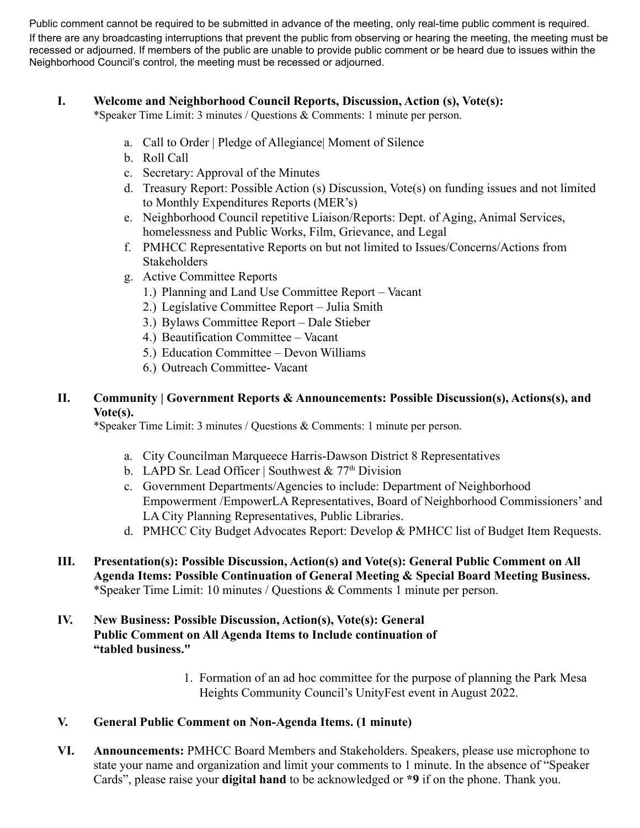Public comment cannot be required to be submitted in advance of the meeting, only real-time public comment is required. If there are any broadcasting interruptions that prevent the public from observing or hearing the meeting, the meeting must be recessed or adjourned. If members of the public are unable to provide public comment or be heard due to issues within the Neighborhood Council's control, the meeting must be recessed or adjourned.

#### **I. Welcome and Neighborhood Council Reports, Discussion, Action (s), Vote(s):**

\*Speaker Time Limit: 3 minutes / Questions & Comments: 1 minute per person.

- a. Call to Order | Pledge of Allegiance| Moment of Silence
- b. Roll Call
- c. Secretary: Approval of the Minutes
- d. Treasury Report: Possible Action (s) Discussion, Vote(s) on funding issues and not limited to Monthly Expenditures Reports (MER's)
- e. Neighborhood Council repetitive Liaison/Reports: Dept. of Aging, Animal Services, homelessness and Public Works, Film, Grievance, and Legal
- f. PMHCC Representative Reports on but not limited to Issues/Concerns/Actions from Stakeholders
- g. Active Committee Reports
	- 1.) Planning and Land Use Committee Report Vacant
	- 2.) Legislative Committee Report Julia Smith
	- 3.) Bylaws Committee Report Dale Stieber
	- 4.) Beautification Committee Vacant
	- 5.) Education Committee Devon Williams
	- 6.) Outreach Committee- Vacant

### **II. Community | Government Reports & Announcements: Possible Discussion(s), Actions(s), and Vote(s).**

\*Speaker Time Limit: 3 minutes / Questions & Comments: 1 minute per person.

- a. City Councilman Marqueece Harris-Dawson District 8 Representatives
- b. LAPD Sr. Lead Officer | Southwest  $& 77<sup>th</sup> Division$
- c. Government Departments/Agencies to include: Department of Neighborhood Empowerment /EmpowerLA Representatives, Board of Neighborhood Commissioners' and LA City Planning Representatives, Public Libraries.
- d. PMHCC City Budget Advocates Report: Develop & PMHCC list of Budget Item Requests.
- **III. Presentation(s): Possible Discussion, Action(s) and Vote(s): General Public Comment on All Agenda Items: Possible Continuation of General Meeting & Special Board Meeting Business.** \*Speaker Time Limit: 10 minutes / Questions & Comments 1 minute per person.
- **IV. New Business: Possible Discussion, Action(s), Vote(s): General Public Comment on All Agenda Items to Include continuation of "tabled business."**
	- 1. Formation of an ad hoc committee for the purpose of planning the Park Mesa Heights Community Council's UnityFest event in August 2022.

### **V. General Public Comment on Non-Agenda Items. (1 minute)**

**VI. Announcements:** PMHCC Board Members and Stakeholders. Speakers, please use microphone to state your name and organization and limit your comments to 1 minute. In the absence of "Speaker Cards", please raise your **digital hand** to be acknowledged or **\*9** if on the phone. Thank you.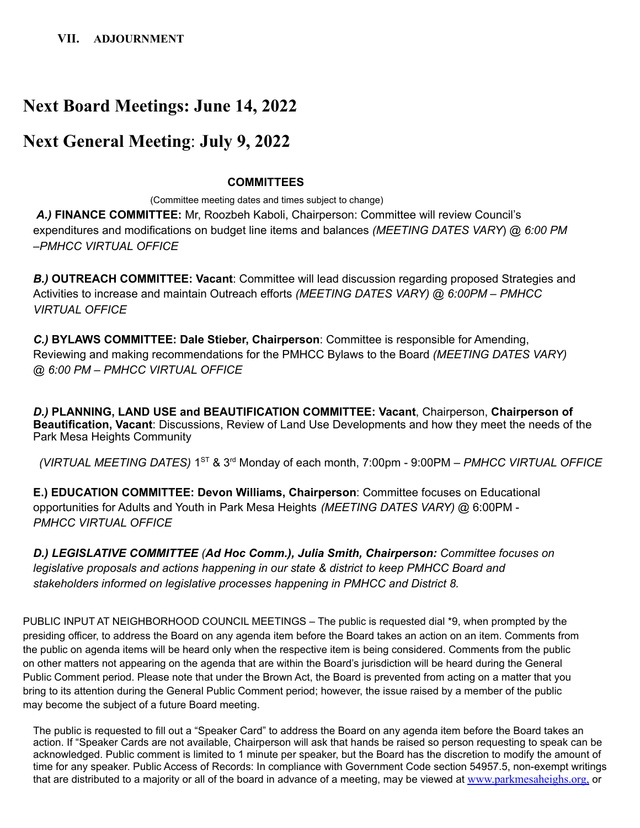## **Next Board Meetings: June 14, 2022**

### **Next General Meeting**: **July 9, 2022**

#### **COMMITTEES**

(Committee meeting dates and times subject to change)

*A.)* **FINANCE COMMITTEE:** Mr, Roozbeh Kaboli, Chairperson: Committee will review Council's expenditures and modifications on budget line items and balances *(MEETING DATES VARY*) @ *6:00 PM –PMHCC VIRTUAL OFFICE*

*B.)* **OUTREACH COMMITTEE: Vacant**: Committee will lead discussion regarding proposed Strategies and Activities to increase and maintain Outreach efforts *(MEETING DATES VARY) @ 6:00PM – PMHCC VIRTUAL OFFICE*

*C.)* **BYLAWS COMMITTEE: Dale Stieber, Chairperson**: Committee is responsible for Amending, Reviewing and making recommendations for the PMHCC Bylaws to the Board *(MEETING DATES VARY) @ 6:00 PM – PMHCC VIRTUAL OFFICE*

*D.)* **PLANNING, LAND USE and BEAUTIFICATION COMMITTEE: Vacant**, Chairperson, **Chairperson of Beautification, Vacant**: Discussions, Review of Land Use Developments and how they meet the needs of the Park Mesa Heights Community

*(VIRTUAL MEETING DATES)* 1 ST & 3 rd Monday of each month, 7:00pm - 9:00PM *– PMHCC VIRTUAL OFFICE*

**E.) EDUCATION COMMITTEE: Devon Williams, Chairperson**: Committee focuses on Educational opportunities for Adults and Youth in Park Mesa Heights *(MEETING DATES VARY)* @ 6:00PM - *PMHCC VIRTUAL OFFICE*

*D.) LEGISLATIVE COMMITTEE (Ad Hoc Comm.), Julia Smith, Chairperson: Committee focuses on legislative proposals and actions happening in our state & district to keep PMHCC Board and stakeholders informed on legislative processes happening in PMHCC and District 8.*

PUBLIC INPUT AT NEIGHBORHOOD COUNCIL MEETINGS – The public is requested dial \*9, when prompted by the presiding officer, to address the Board on any agenda item before the Board takes an action on an item. Comments from the public on agenda items will be heard only when the respective item is being considered. Comments from the public on other matters not appearing on the agenda that are within the Board's jurisdiction will be heard during the General Public Comment period. Please note that under the Brown Act, the Board is prevented from acting on a matter that you bring to its attention during the General Public Comment period; however, the issue raised by a member of the public may become the subject of a future Board meeting.

The public is requested to fill out a "Speaker Card" to address the Board on any agenda item before the Board takes an action. If "Speaker Cards are not available, Chairperson will ask that hands be raised so person requesting to speak can be acknowledged. Public comment is limited to 1 minute per speaker, but the Board has the discretion to modify the amount of time for any speaker. Public Access of Records: In compliance with Government Code section 54957.5, non-exempt writings that are distributed to a majority or all of the board in advance of a meeting, may be viewed at [www.parkmesaheighs.org,](http://www.parkmesaheights.org/) or